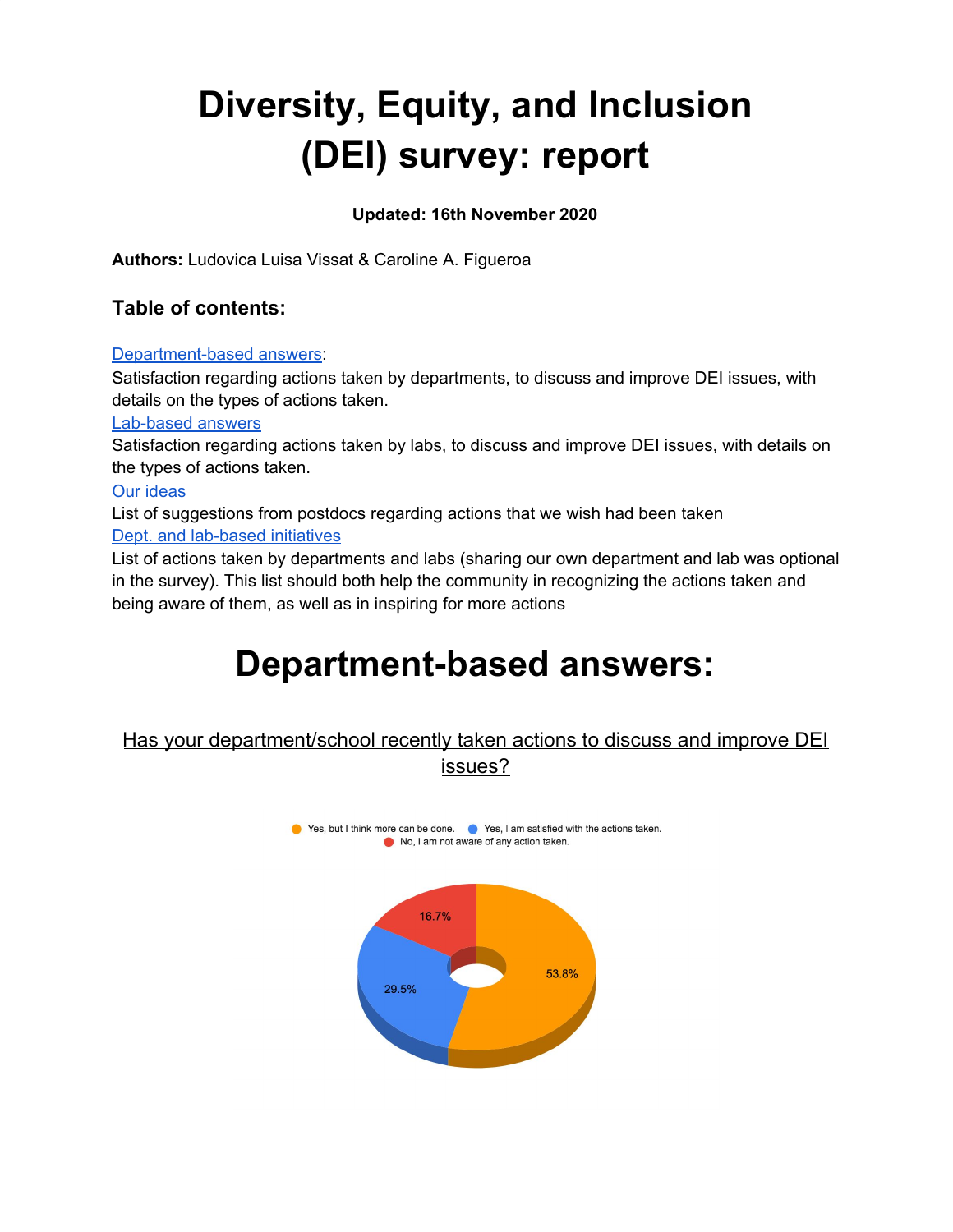# **Diversity, Equity, and Inclusion (DEI) survey: report**

# **Updated: 16th November 2020**

**Authors:** Ludovica Luisa Vissat & Caroline A. Figueroa

# **Table of contents:**

#### [Department-based](#page-0-0) answers:

Satisfaction regarding actions taken by departments, to discuss and improve DEI issues, with details on the types of actions taken.

#### [Lab-based](#page-2-0) answers

Satisfaction regarding actions taken by labs, to discuss and improve DEI issues, with details on the types of actions taken.

#### Our [ideas](#page-3-0)

List of suggestions from postdocs regarding actions that we wish had been taken Dept. and lab-based initiatives

List of actions taken by departments and labs (sharing our own department and lab was optional in the survey). This list should both help the community in recognizing the actions taken and being aware of them, as well as in inspiring for more actions

# <span id="page-0-0"></span>**Department-based answers:**

# Has your department/school recently taken actions to discuss and improve DEI issues?

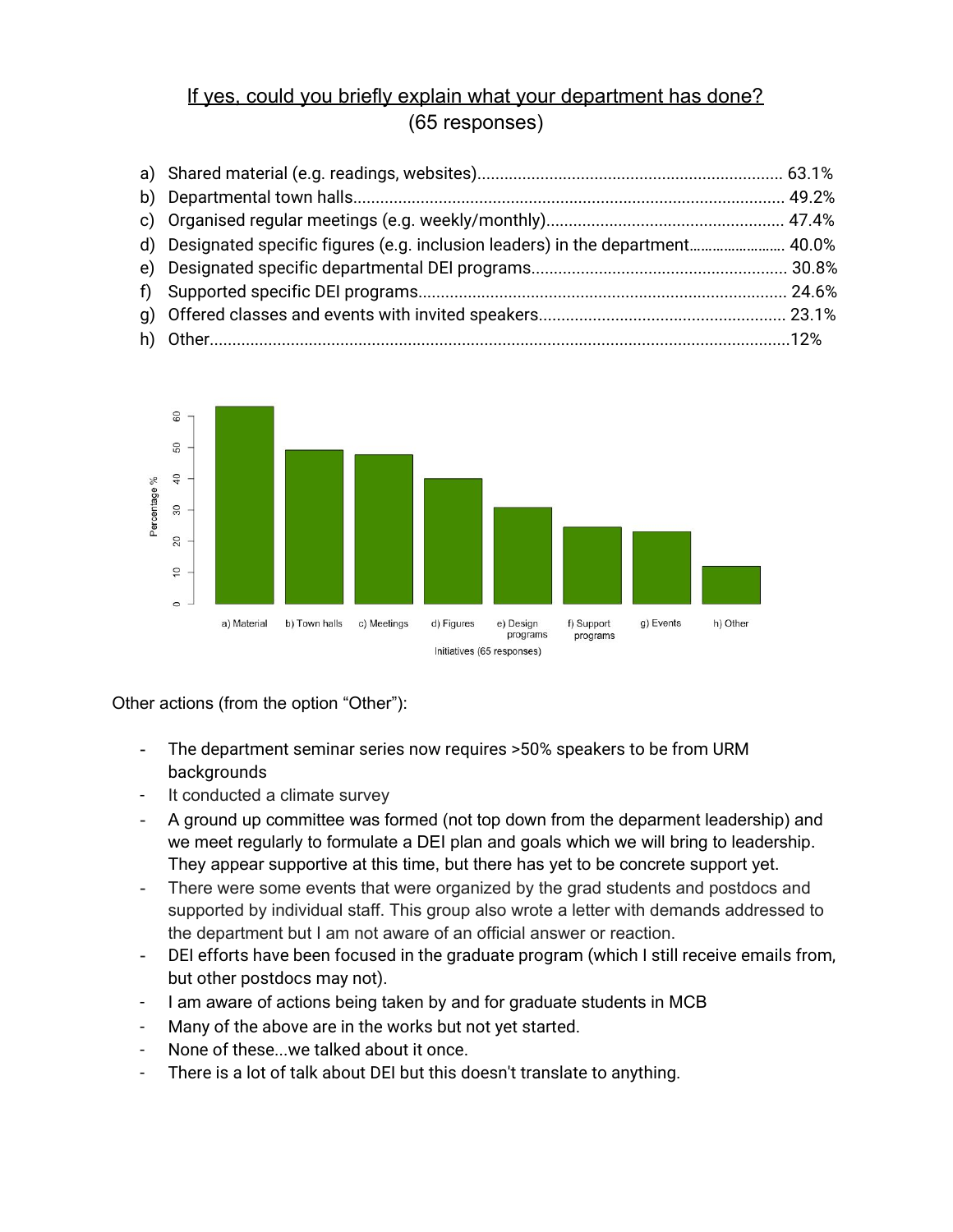# If yes, could you briefly explain what your department has done? (65 responses)

| d) Designated specific figures (e.g. inclusion leaders) in the department 40.0% |  |
|---------------------------------------------------------------------------------|--|
|                                                                                 |  |
|                                                                                 |  |
|                                                                                 |  |
|                                                                                 |  |



Other actions (from the option "Other"):

- The department seminar series now requires >50% speakers to be from URM backgrounds
- It conducted a climate survey
- A ground up committee was formed (not top down from the deparment leadership) and we meet regularly to formulate a DEI plan and goals which we will bring to leadership. They appear supportive at this time, but there has yet to be concrete support yet.
- There were some events that were organized by the grad students and postdocs and supported by individual staff. This group also wrote a letter with demands addressed to the department but I am not aware of an official answer or reaction.
- DEI efforts have been focused in the graduate program (which I still receive emails from, but other postdocs may not).
- I am aware of actions being taken by and for graduate students in MCB
- Many of the above are in the works but not yet started.
- None of these...we talked about it once.
- There is a lot of talk about DEI but this doesn't translate to anything.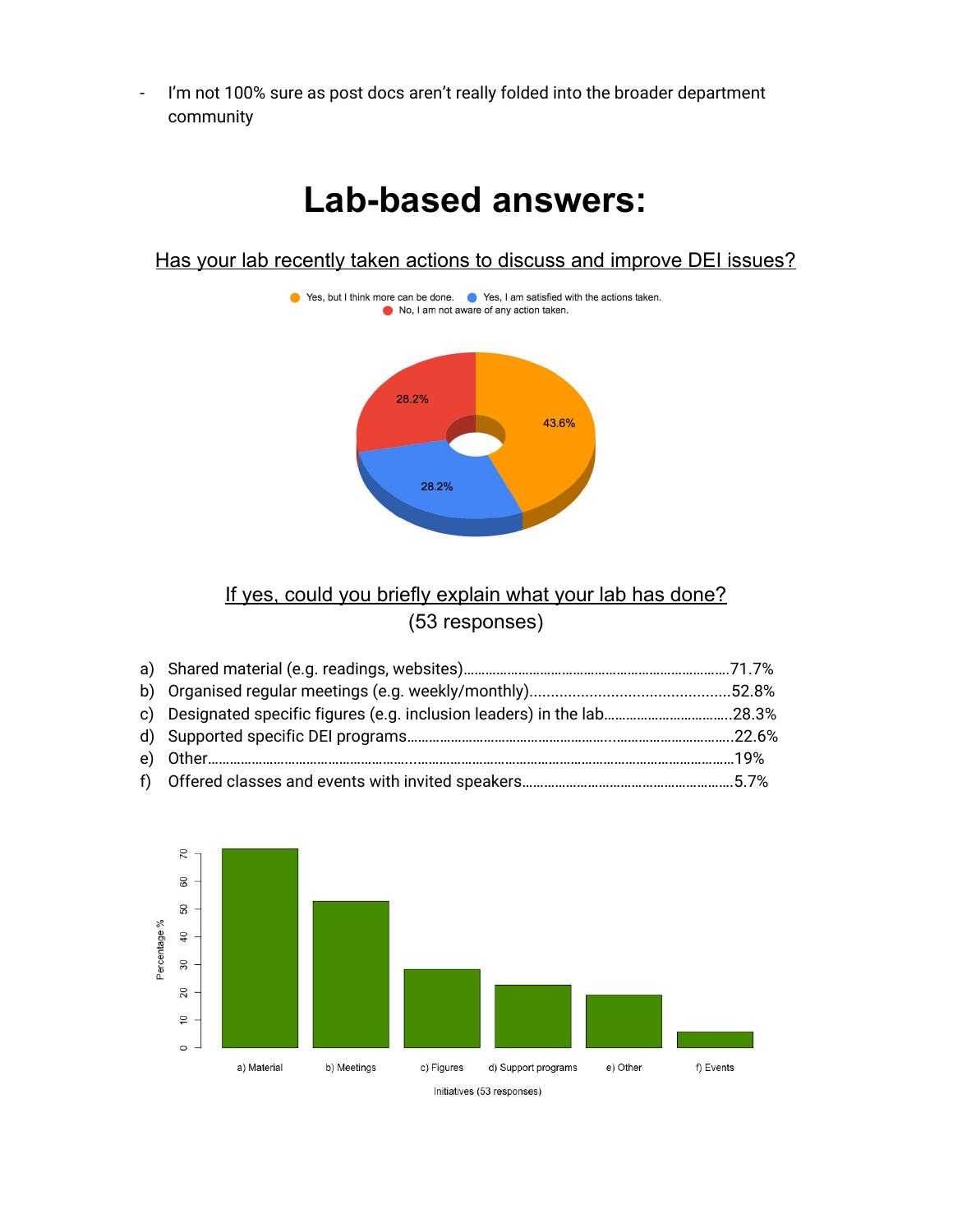- I'm not 100% sure as post docs aren't really folded into the broader department community

# <span id="page-2-0"></span>**Lab-based answers:**

Has your lab recently taken actions to discuss and improve DEI issues?



# If yes, could you briefly explain what your lab has done? (53 responses)

| c) Designated specific figures (e.g. inclusion leaders) in the lab28.3% |  |
|-------------------------------------------------------------------------|--|
|                                                                         |  |
|                                                                         |  |
|                                                                         |  |

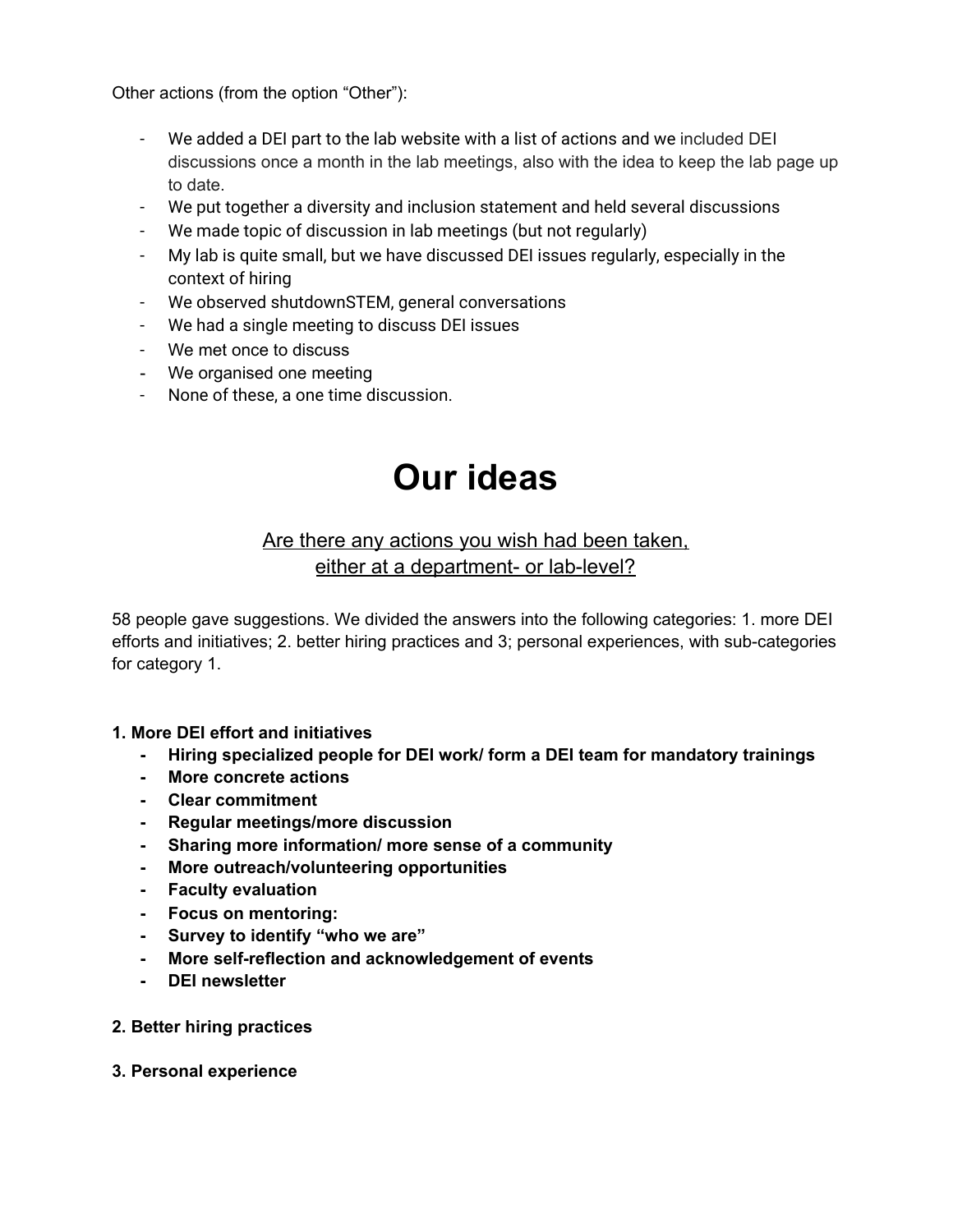Other actions (from the option "Other"):

- We added a DEI part to the lab website with a list of actions and we included DEI discussions once a month in the lab meetings, also with the idea to keep the lab page up to date.
- We put together a diversity and inclusion statement and held several discussions
- We made topic of discussion in lab meetings (but not regularly)
- My lab is quite small, but we have discussed DEI issues regularly, especially in the context of hiring
- We observed shutdownSTEM, general conversations
- We had a single meeting to discuss DEI issues
- We met once to discuss
- We organised one meeting
- None of these, a one time discussion.

# <span id="page-3-0"></span>**Our ideas**

# Are there any actions you wish had been taken, either at a department- or lab-level?

58 people gave suggestions. We divided the answers into the following categories: 1. more DEI efforts and initiatives; 2. better hiring practices and 3; personal experiences, with sub-categories for category 1.

# **1. More DEI effort and initiatives**

- **- Hiring specialized people for DEI work/ form a DEI team for mandatory trainings**
- **- More concrete actions**
- **- Clear commitment**
- **- Regular meetings/more discussion**
- **- Sharing more information/ more sense of a community**
- **- More outreach/volunteering opportunities**
- **- Faculty evaluation**
- **- Focus on mentoring:**
- **- Survey to identify "who we are"**
- **- More self-reflection and acknowledgement of events**
- **- DEI newsletter**
- **2. Better hiring practices**
- **3. Personal experience**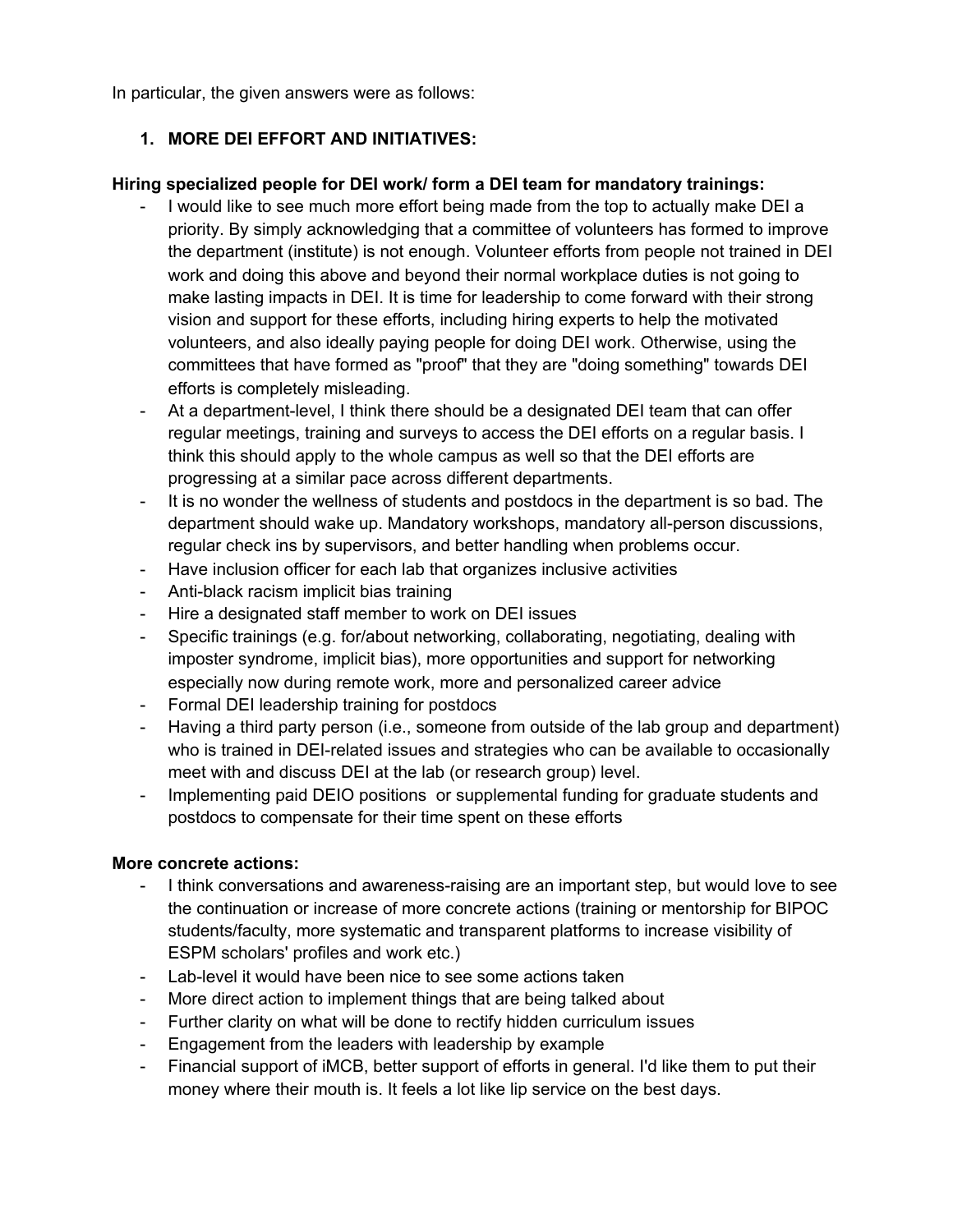In particular, the given answers were as follows:

# **1. MORE DEI EFFORT AND INITIATIVES:**

#### **Hiring specialized people for DEI work/ form a DEI team for mandatory trainings:**

- I would like to see much more effort being made from the top to actually make DEI a priority. By simply acknowledging that a committee of volunteers has formed to improve the department (institute) is not enough. Volunteer efforts from people not trained in DEI work and doing this above and beyond their normal workplace duties is not going to make lasting impacts in DEI. It is time for leadership to come forward with their strong vision and support for these efforts, including hiring experts to help the motivated volunteers, and also ideally paying people for doing DEI work. Otherwise, using the committees that have formed as "proof" that they are "doing something" towards DEI efforts is completely misleading.
- At a department-level, I think there should be a designated DEI team that can offer regular meetings, training and surveys to access the DEI efforts on a regular basis. I think this should apply to the whole campus as well so that the DEI efforts are progressing at a similar pace across different departments.
- It is no wonder the wellness of students and postdocs in the department is so bad. The department should wake up. Mandatory workshops, mandatory all-person discussions, regular check ins by supervisors, and better handling when problems occur.
- Have inclusion officer for each lab that organizes inclusive activities
- Anti-black racism implicit bias training
- Hire a designated staff member to work on DEI issues
- Specific trainings (e.g. for/about networking, collaborating, negotiating, dealing with imposter syndrome, implicit bias), more opportunities and support for networking especially now during remote work, more and personalized career advice
- Formal DEI leadership training for postdocs
- Having a third party person (i.e., someone from outside of the lab group and department) who is trained in DEI-related issues and strategies who can be available to occasionally meet with and discuss DEI at the lab (or research group) level.
- Implementing paid DEIO positions or supplemental funding for graduate students and postdocs to compensate for their time spent on these efforts

#### **More concrete actions:**

- I think conversations and awareness-raising are an important step, but would love to see the continuation or increase of more concrete actions (training or mentorship for BIPOC students/faculty, more systematic and transparent platforms to increase visibility of ESPM scholars' profiles and work etc.)
- Lab-level it would have been nice to see some actions taken
- More direct action to implement things that are being talked about
- Further clarity on what will be done to rectify hidden curriculum issues
- Engagement from the leaders with leadership by example
- Financial support of iMCB, better support of efforts in general. I'd like them to put their money where their mouth is. It feels a lot like lip service on the best days.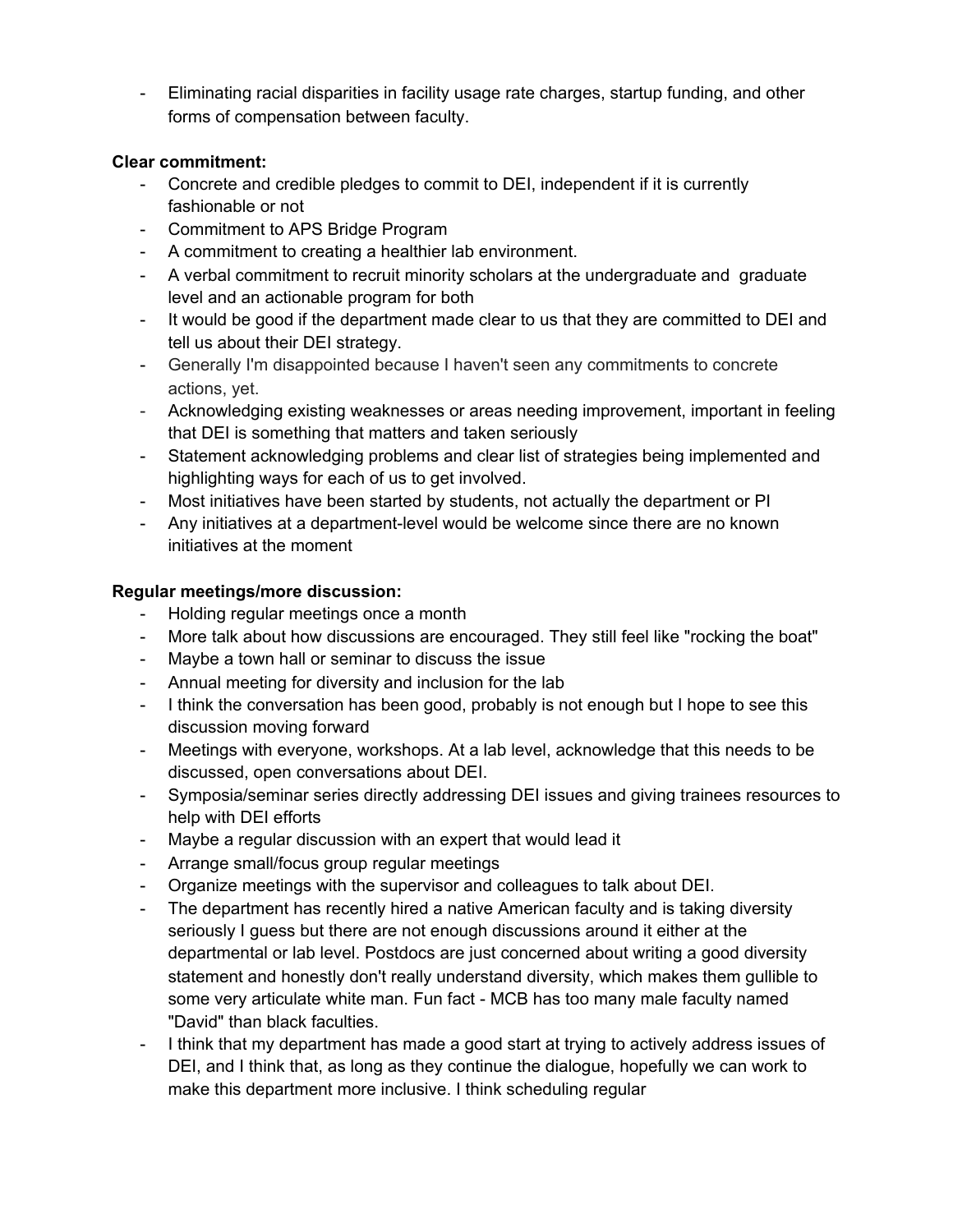- Eliminating racial disparities in facility usage rate charges, startup funding, and other forms of compensation between faculty.

# **Clear commitment:**

- Concrete and credible pledges to commit to DEI, independent if it is currently fashionable or not
- Commitment to APS Bridge Program
- A commitment to creating a healthier lab environment.
- A verbal commitment to recruit minority scholars at the undergraduate and graduate level and an actionable program for both
- It would be good if the department made clear to us that they are committed to DEI and tell us about their DEI strategy.
- Generally I'm disappointed because I haven't seen any commitments to concrete actions, yet.
- Acknowledging existing weaknesses or areas needing improvement, important in feeling that DEI is something that matters and taken seriously
- Statement acknowledging problems and clear list of strategies being implemented and highlighting ways for each of us to get involved.
- Most initiatives have been started by students, not actually the department or PI
- Any initiatives at a department-level would be welcome since there are no known initiatives at the moment

# **Regular meetings/more discussion:**

- Holding regular meetings once a month
- More talk about how discussions are encouraged. They still feel like "rocking the boat"
- Maybe a town hall or seminar to discuss the issue
- Annual meeting for diversity and inclusion for the lab
- I think the conversation has been good, probably is not enough but I hope to see this discussion moving forward
- Meetings with everyone, workshops. At a lab level, acknowledge that this needs to be discussed, open conversations about DEI.
- Symposia/seminar series directly addressing DEI issues and giving trainees resources to help with DEI efforts
- Maybe a regular discussion with an expert that would lead it
- Arrange small/focus group regular meetings
- Organize meetings with the supervisor and colleagues to talk about DEI.
- The department has recently hired a native American faculty and is taking diversity seriously I guess but there are not enough discussions around it either at the departmental or lab level. Postdocs are just concerned about writing a good diversity statement and honestly don't really understand diversity, which makes them gullible to some very articulate white man. Fun fact - MCB has too many male faculty named "David" than black faculties.
- I think that my department has made a good start at trying to actively address issues of DEI, and I think that, as long as they continue the dialogue, hopefully we can work to make this department more inclusive. I think scheduling regular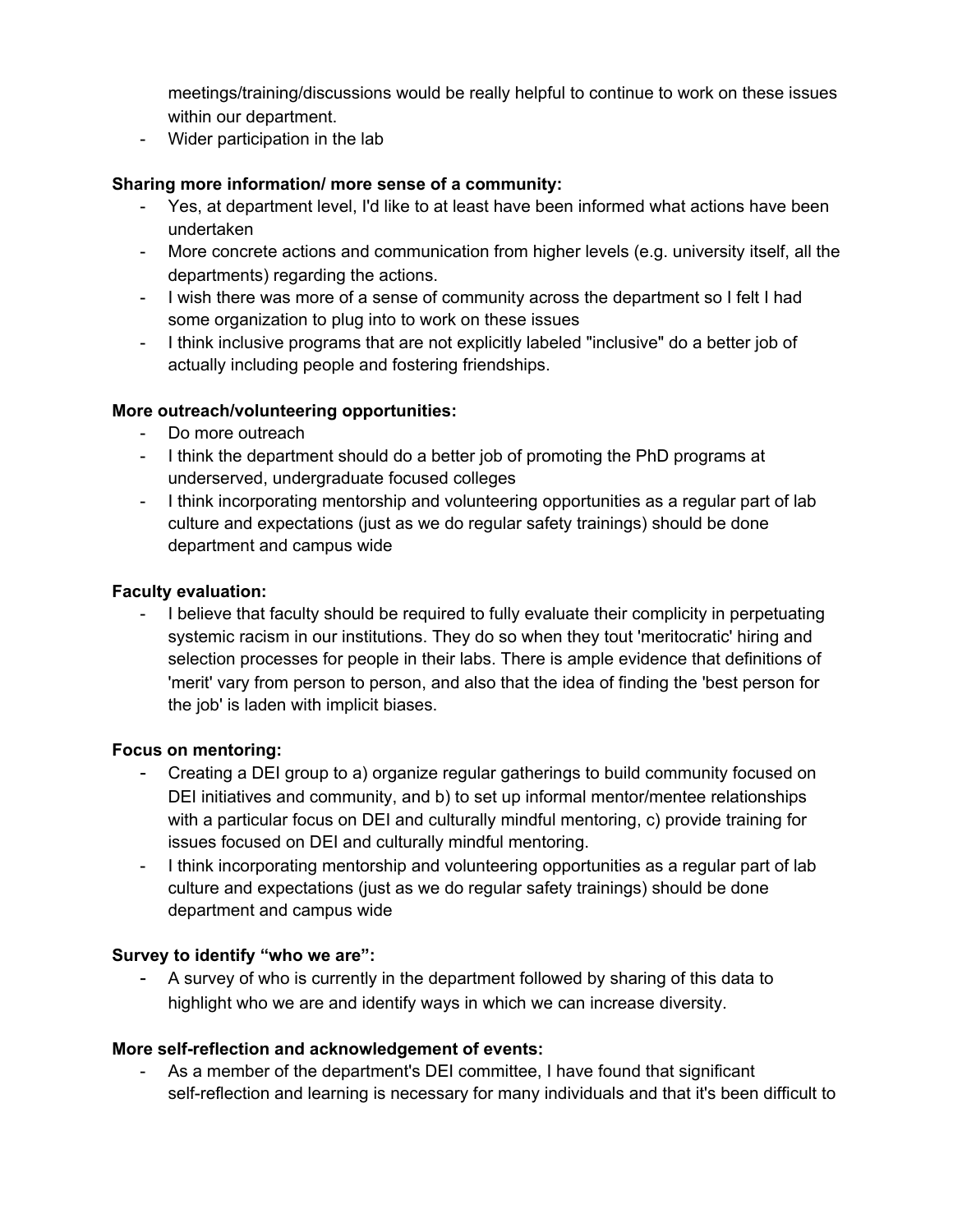meetings/training/discussions would be really helpful to continue to work on these issues within our department.

- Wider participation in the lab

# **Sharing more information/ more sense of a community:**

- Yes, at department level, I'd like to at least have been informed what actions have been undertaken
- More concrete actions and communication from higher levels (e.g. university itself, all the departments) regarding the actions.
- I wish there was more of a sense of community across the department so I felt I had some organization to plug into to work on these issues
- I think inclusive programs that are not explicitly labeled "inclusive" do a better job of actually including people and fostering friendships.

# **More outreach/volunteering opportunities:**

- Do more outreach
- I think the department should do a better job of promoting the PhD programs at underserved, undergraduate focused colleges
- I think incorporating mentorship and volunteering opportunities as a regular part of lab culture and expectations (just as we do regular safety trainings) should be done department and campus wide

# **Faculty evaluation:**

- I believe that faculty should be required to fully evaluate their complicity in perpetuating systemic racism in our institutions. They do so when they tout 'meritocratic' hiring and selection processes for people in their labs. There is ample evidence that definitions of 'merit' vary from person to person, and also that the idea of finding the 'best person for the job' is laden with implicit biases.

# **Focus on mentoring:**

- Creating a DEI group to a) organize regular gatherings to build community focused on DEI initiatives and community, and b) to set up informal mentor/mentee relationships with a particular focus on DEI and culturally mindful mentoring, c) provide training for issues focused on DEI and culturally mindful mentoring.
- I think incorporating mentorship and volunteering opportunities as a regular part of lab culture and expectations (just as we do regular safety trainings) should be done department and campus wide

# **Survey to identify "who we are":**

A survey of who is currently in the department followed by sharing of this data to highlight who we are and identify ways in which we can increase diversity.

# **More self-reflection and acknowledgement of events:**

- As a member of the department's DEI committee, I have found that significant self-reflection and learning is necessary for many individuals and that it's been difficult to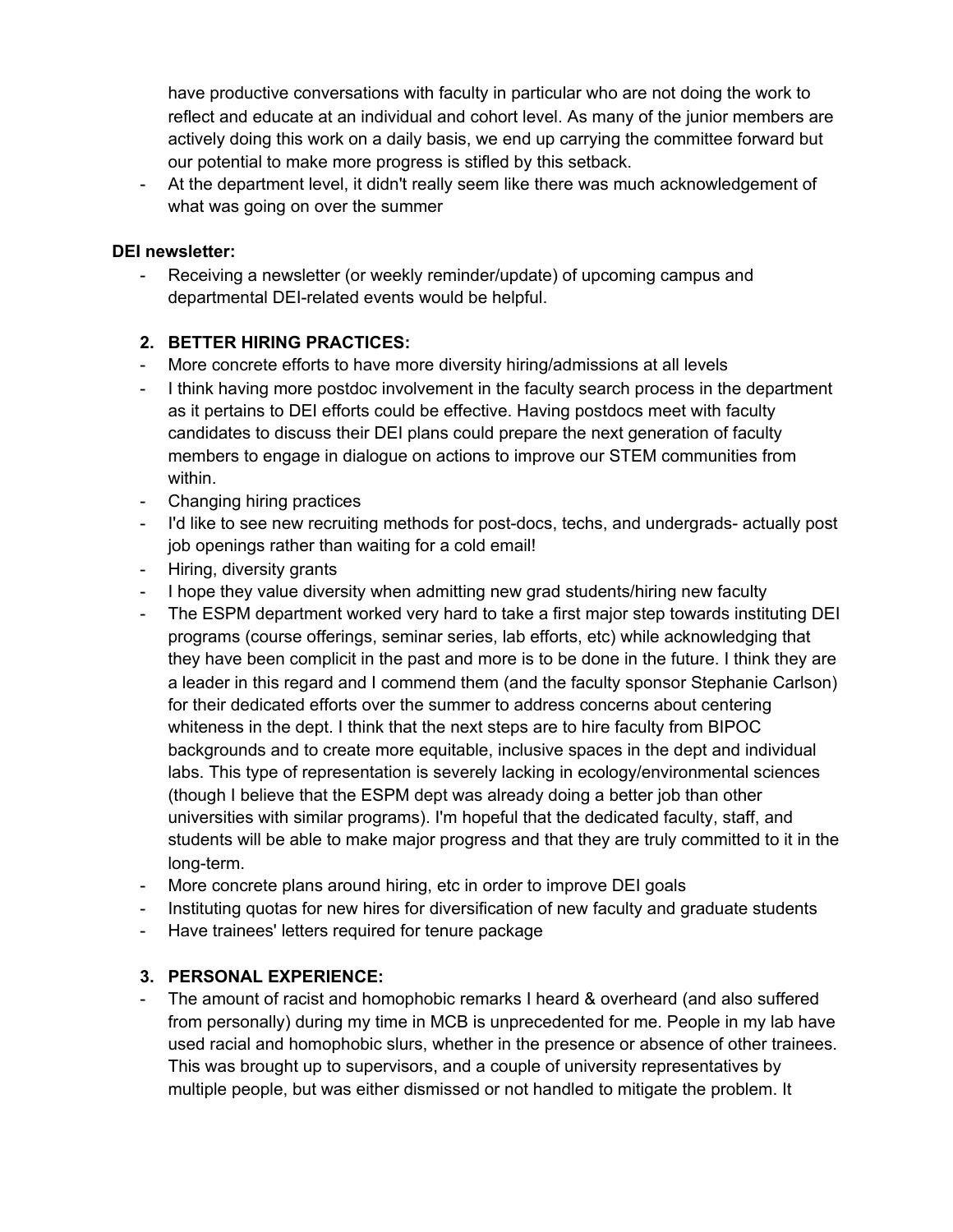have productive conversations with faculty in particular who are not doing the work to reflect and educate at an individual and cohort level. As many of the junior members are actively doing this work on a daily basis, we end up carrying the committee forward but our potential to make more progress is stifled by this setback.

- At the department level, it didn't really seem like there was much acknowledgement of what was going on over the summer

### **DEI newsletter:**

- Receiving a newsletter (or weekly reminder/update) of upcoming campus and departmental DEI-related events would be helpful.

# **2. BETTER HIRING PRACTICES:**

- More concrete efforts to have more diversity hiring/admissions at all levels
- I think having more postdoc involvement in the faculty search process in the department as it pertains to DEI efforts could be effective. Having postdocs meet with faculty candidates to discuss their DEI plans could prepare the next generation of faculty members to engage in dialogue on actions to improve our STEM communities from within.
- Changing hiring practices
- I'd like to see new recruiting methods for post-docs, techs, and undergrads- actually post job openings rather than waiting for a cold email!
- Hiring, diversity grants
- I hope they value diversity when admitting new grad students/hiring new faculty
- The ESPM department worked very hard to take a first major step towards instituting DEI programs (course offerings, seminar series, lab efforts, etc) while acknowledging that they have been complicit in the past and more is to be done in the future. I think they are a leader in this regard and I commend them (and the faculty sponsor Stephanie Carlson) for their dedicated efforts over the summer to address concerns about centering whiteness in the dept. I think that the next steps are to hire faculty from BIPOC backgrounds and to create more equitable, inclusive spaces in the dept and individual labs. This type of representation is severely lacking in ecology/environmental sciences (though I believe that the ESPM dept was already doing a better job than other universities with similar programs). I'm hopeful that the dedicated faculty, staff, and students will be able to make major progress and that they are truly committed to it in the long-term.
- More concrete plans around hiring, etc in order to improve DEI goals
- Instituting quotas for new hires for diversification of new faculty and graduate students
- Have trainees' letters required for tenure package

#### **3. PERSONAL EXPERIENCE:**

The amount of racist and homophobic remarks I heard & overheard (and also suffered from personally) during my time in MCB is unprecedented for me. People in my lab have used racial and homophobic slurs, whether in the presence or absence of other trainees. This was brought up to supervisors, and a couple of university representatives by multiple people, but was either dismissed or not handled to mitigate the problem. It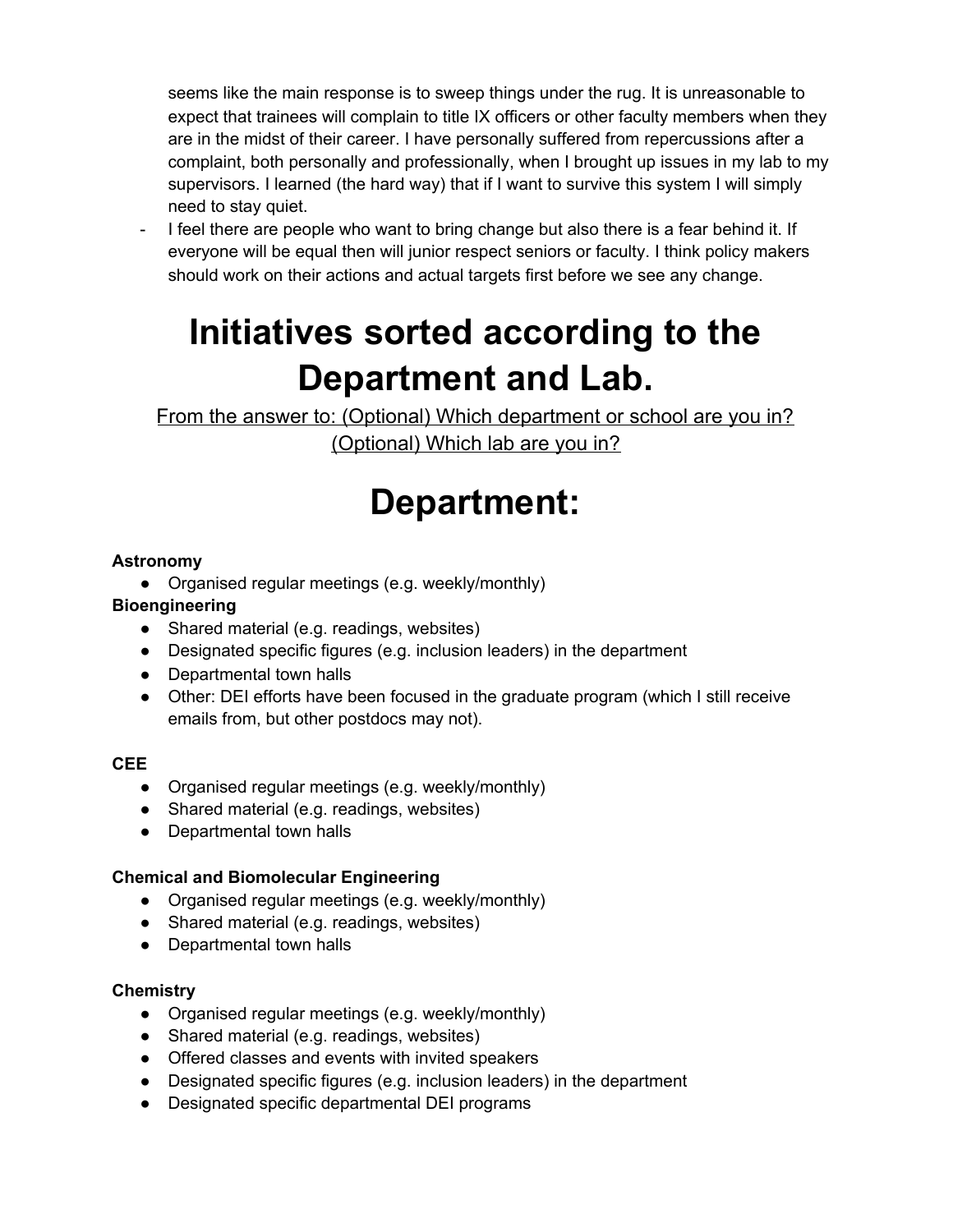seems like the main response is to sweep things under the rug. It is unreasonable to expect that trainees will complain to title IX officers or other faculty members when they are in the midst of their career. I have personally suffered from repercussions after a complaint, both personally and professionally, when I brought up issues in my lab to my supervisors. I learned (the hard way) that if I want to survive this system I will simply need to stay quiet.

I feel there are people who want to bring change but also there is a fear behind it. If everyone will be equal then will junior respect seniors or faculty. I think policy makers should work on their actions and actual targets first before we see any change.

# **Initiatives sorted according to the Department and Lab.**

From the answer to: (Optional) Which department or school are you in? (Optional) Which lab are you in?

# **Department:**

# **Astronomy**

• Organised regular meetings (e.g. weekly/monthly)

# **Bioengineering**

- Shared material (e.g. readings, websites)
- Designated specific figures (e.g. inclusion leaders) in the department
- Departmental town halls
- Other: DEI efforts have been focused in the graduate program (which I still receive emails from, but other postdocs may not).

# **CEE**

- Organised regular meetings (e.g. weekly/monthly)
- Shared material (e.g. readings, websites)
- Departmental town halls

# **Chemical and Biomolecular Engineering**

- Organised regular meetings (e.g. weekly/monthly)
- Shared material (e.g. readings, websites)
- Departmental town halls

# **Chemistry**

- Organised regular meetings (e.g. weekly/monthly)
- Shared material (e.g. readings, websites)
- Offered classes and events with invited speakers
- Designated specific figures (e.g. inclusion leaders) in the department
- Designated specific departmental DEI programs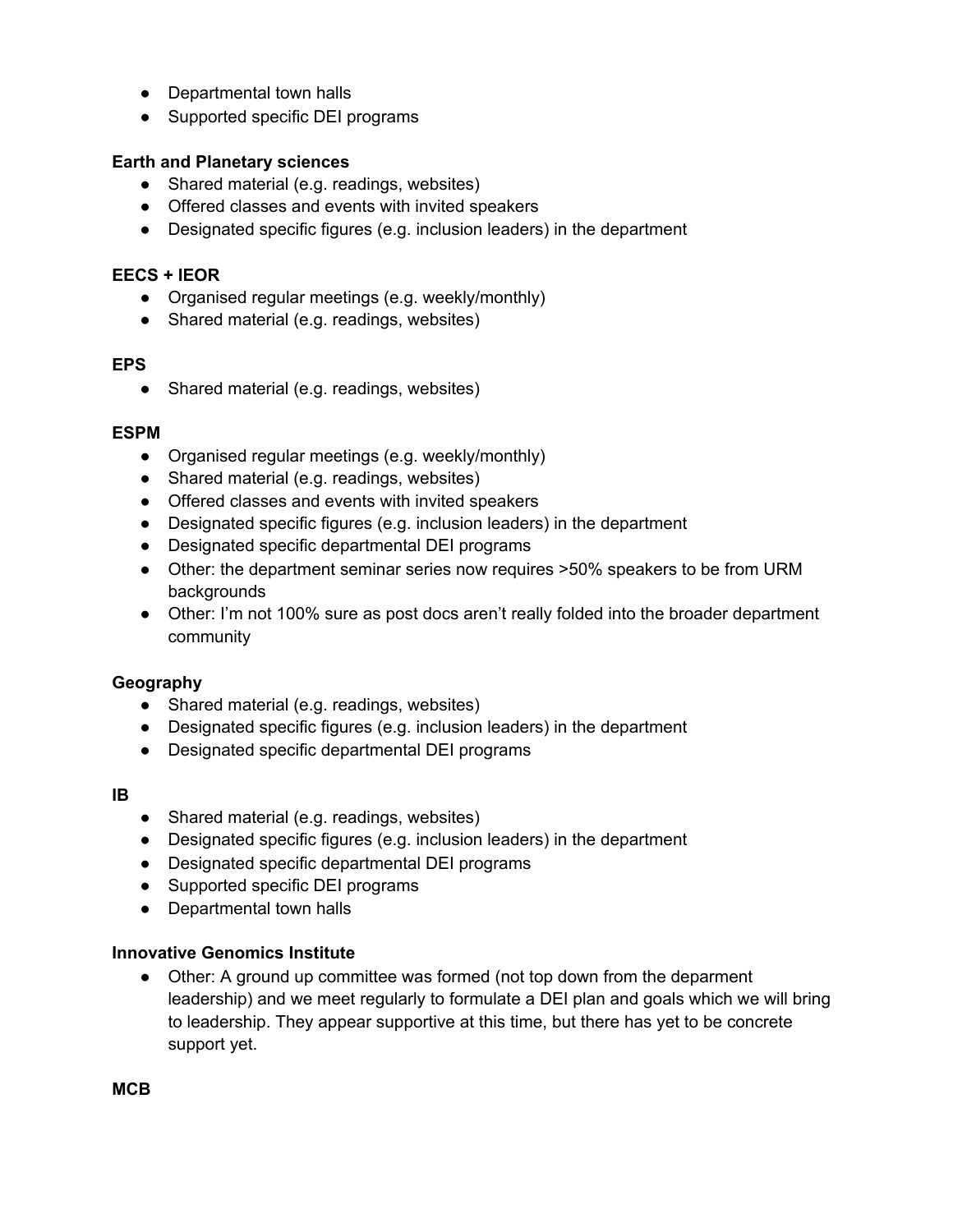- Departmental town halls
- Supported specific DEI programs

#### **Earth and Planetary sciences**

- Shared material (e.g. readings, websites)
- Offered classes and events with invited speakers
- Designated specific figures (e.g. inclusion leaders) in the department

#### **EECS + IEOR**

- Organised regular meetings (e.g. weekly/monthly)
- Shared material (e.g. readings, websites)

#### **EPS**

• Shared material (e.g. readings, websites)

#### **ESPM**

- Organised regular meetings (e.g. weekly/monthly)
- Shared material (e.g. readings, websites)
- Offered classes and events with invited speakers
- Designated specific figures (e.g. inclusion leaders) in the department
- Designated specific departmental DEI programs
- Other: the department seminar series now requires >50% speakers to be from URM backgrounds
- Other: I'm not 100% sure as post docs aren't really folded into the broader department community

#### **Geography**

- Shared material (e.g. readings, websites)
- Designated specific figures (e.g. inclusion leaders) in the department
- Designated specific departmental DEI programs

#### **IB**

- Shared material (e.g. readings, websites)
- Designated specific figures (e.g. inclusion leaders) in the department
- Designated specific departmental DEI programs
- Supported specific DEI programs
- Departmental town halls

#### **Innovative Genomics Institute**

● Other: A ground up committee was formed (not top down from the deparment leadership) and we meet regularly to formulate a DEI plan and goals which we will bring to leadership. They appear supportive at this time, but there has yet to be concrete support yet.

**MCB**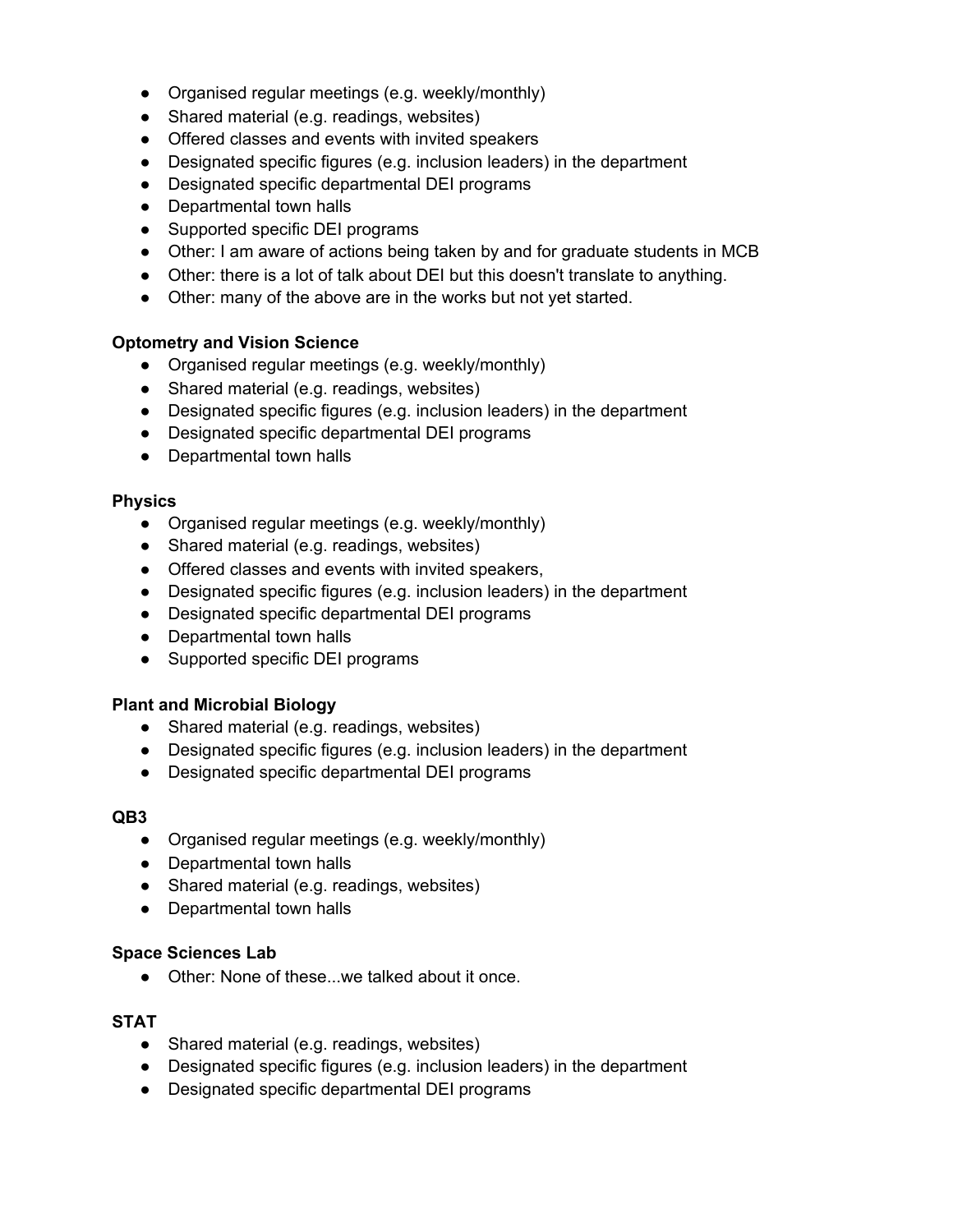- Organised regular meetings (e.g. weekly/monthly)
- Shared material (e.g. readings, websites)
- Offered classes and events with invited speakers
- Designated specific figures (e.g. inclusion leaders) in the department
- Designated specific departmental DEI programs
- Departmental town halls
- Supported specific DEI programs
- Other: I am aware of actions being taken by and for graduate students in MCB
- Other: there is a lot of talk about DEI but this doesn't translate to anything.
- Other: many of the above are in the works but not yet started.

#### **Optometry and Vision Science**

- Organised regular meetings (e.g. weekly/monthly)
- Shared material (e.g. readings, websites)
- Designated specific figures (e.g. inclusion leaders) in the department
- Designated specific departmental DEI programs
- Departmental town halls

#### **Physics**

- Organised regular meetings (e.g. weekly/monthly)
- Shared material (e.g. readings, websites)
- Offered classes and events with invited speakers,
- Designated specific figures (e.g. inclusion leaders) in the department
- Designated specific departmental DEI programs
- Departmental town halls
- Supported specific DEI programs

#### **Plant and Microbial Biology**

- Shared material (e.g. readings, websites)
- Designated specific figures (e.g. inclusion leaders) in the department
- Designated specific departmental DEI programs

#### **QB3**

- Organised regular meetings (e.g. weekly/monthly)
- Departmental town halls
- Shared material (e.g. readings, websites)
- Departmental town halls

#### **Space Sciences Lab**

● Other: None of these...we talked about it once.

#### **STAT**

- Shared material (e.g. readings, websites)
- Designated specific figures (e.g. inclusion leaders) in the department
- Designated specific departmental DEI programs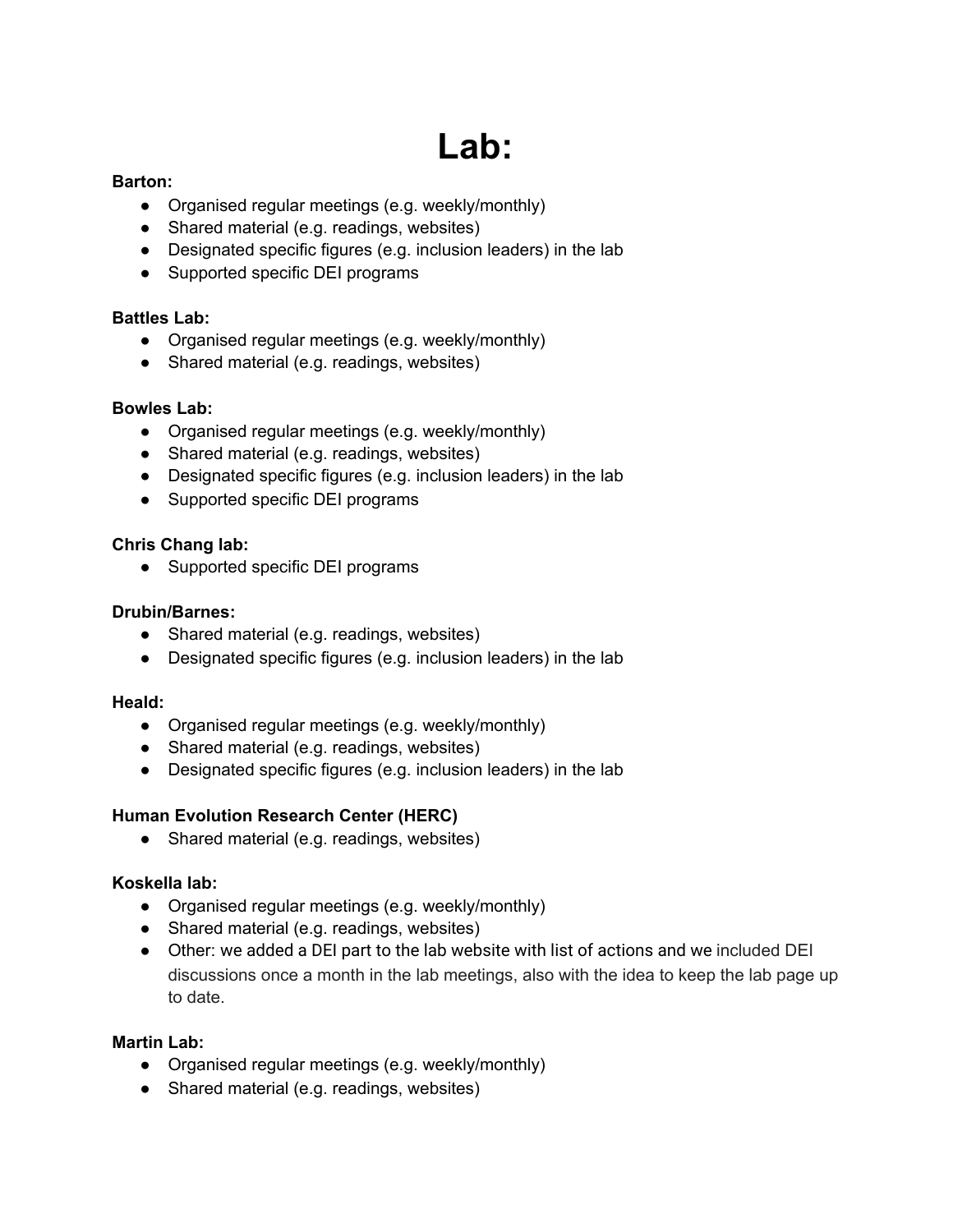# **Lab:**

#### **Barton:**

- Organised regular meetings (e.g. weekly/monthly)
- Shared material (e.g. readings, websites)
- Designated specific figures (e.g. inclusion leaders) in the lab
- Supported specific DEI programs

### **Battles Lab:**

- Organised regular meetings (e.g. weekly/monthly)
- Shared material (e.g. readings, websites)

# **Bowles Lab:**

- Organised regular meetings (e.g. weekly/monthly)
- Shared material (e.g. readings, websites)
- Designated specific figures (e.g. inclusion leaders) in the lab
- Supported specific DEI programs

# **Chris Chang lab:**

● Supported specific DEI programs

### **Drubin/Barnes:**

- Shared material (e.g. readings, websites)
- Designated specific figures (e.g. inclusion leaders) in the lab

#### **Heald:**

- Organised regular meetings (e.g. weekly/monthly)
- Shared material (e.g. readings, websites)
- Designated specific figures (e.g. inclusion leaders) in the lab

# **Human Evolution Research Center (HERC)**

• Shared material (e.g. readings, websites)

# **Koskella lab:**

- Organised regular meetings (e.g. weekly/monthly)
- Shared material (e.g. readings, websites)
- Other: we added a DEI part to the lab website with list of actions and we included DEI discussions once a month in the lab meetings, also with the idea to keep the lab page up to date.

# **Martin Lab:**

- Organised regular meetings (e.g. weekly/monthly)
- Shared material (e.g. readings, websites)